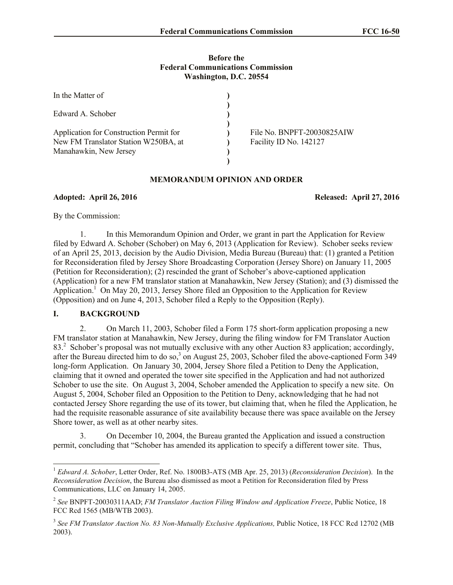## **Before the Federal Communications Commission Washington, D.C. 20554**

| In the Matter of                        |                            |
|-----------------------------------------|----------------------------|
| Edward A. Schober                       |                            |
|                                         |                            |
| Application for Construction Permit for | File No. BNPFT-20030825AIW |
| New FM Translator Station W250BA, at    | Facility ID No. 142127     |
| Manahawkin, New Jersey                  |                            |
|                                         |                            |

## **MEMORANDUM OPINION AND ORDER**

**Adopted: April 26, 2016 Released: April 27, 2016**

By the Commission:

1. In this Memorandum Opinion and Order, we grant in part the Application for Review filed by Edward A. Schober (Schober) on May 6, 2013 (Application for Review). Schober seeks review of an April 25, 2013, decision by the Audio Division, Media Bureau (Bureau) that: (1) granted a Petition for Reconsideration filed by Jersey Shore Broadcasting Corporation (Jersey Shore) on January 11, 2005 (Petition for Reconsideration); (2) rescinded the grant of Schober's above-captioned application (Application) for a new FM translator station at Manahawkin, New Jersey (Station); and (3) dismissed the Application.<sup>1</sup> On May 20, 2013, Jersey Shore filed an Opposition to the Application for Review (Opposition) and on June 4, 2013, Schober filed a Reply to the Opposition (Reply).

## **I. BACKGROUND**

l

2. On March 11, 2003, Schober filed a Form 175 short-form application proposing a new FM translator station at Manahawkin, New Jersey, during the filing window for FM Translator Auction 83.<sup>2</sup> Schober's proposal was not mutually exclusive with any other Auction 83 application; accordingly, after the Bureau directed him to do so,<sup>3</sup> on August 25, 2003, Schober filed the above-captioned Form 349 long-form Application. On January 30, 2004, Jersey Shore filed a Petition to Deny the Application, claiming that it owned and operated the tower site specified in the Application and had not authorized Schober to use the site. On August 3, 2004, Schober amended the Application to specify a new site. On August 5, 2004, Schober filed an Opposition to the Petition to Deny, acknowledging that he had not contacted Jersey Shore regarding the use of its tower, but claiming that, when he filed the Application, he had the requisite reasonable assurance of site availability because there was space available on the Jersey Shore tower, as well as at other nearby sites.

3. On December 10, 2004, the Bureau granted the Application and issued a construction permit, concluding that "Schober has amended its application to specify a different tower site. Thus,

<sup>1</sup> *Edward A. Schober*, Letter Order, Ref. No. 1800B3-ATS (MB Apr. 25, 2013) (*Reconsideration Decision*). In the *Reconsideration Decision*, the Bureau also dismissed as moot a Petition for Reconsideration filed by Press Communications, LLC on January 14, 2005.

<sup>2</sup> *See* BNPFT-20030311AAD; *FM Translator Auction Filing Window and Application Freeze*, Public Notice, 18 FCC Rcd 1565 (MB/WTB 2003).

<sup>&</sup>lt;sup>3</sup> See FM Translator Auction No. 83 Non-Mutually Exclusive Applications, Public Notice, 18 FCC Rcd 12702 (MB 2003).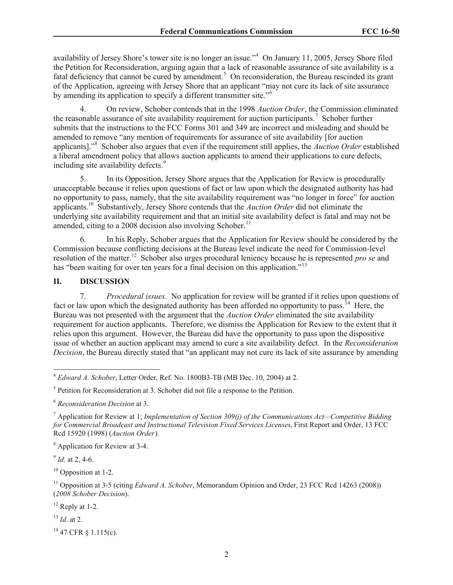availability of Jersey Shore's tower site is no longer an issue."<sup>4</sup> On January 11, 2005, Jersey Shore filed the Petition for Reconsideration, arguing again that a lack of reasonable assurance of site availability is a fatal deficiency that cannot be cured by amendment.<sup>5</sup> On reconsideration, the Bureau rescinded its grant of the Application, agreeing with Jersey Shore that an applicant "may not cure its lack of site assurance by amending its application to specify a different transmitter site."<sup>6</sup>

4. On review, Schober contends that in the 1998 *Auction Order*, the Commission eliminated the reasonable assurance of site availability requirement for auction participants.<sup>7</sup> Schober further submits that the instructions to the FCC Forms 301 and 349 are incorrect and misleading and should be amended to remove "any mention of requirements for assurance of site availability [for auction applicants]."<sup>8</sup> Schober also argues that even if the requirement still applies, the *Auction Order* established a liberal amendment policy that allows auction applicants to amend their applications to cure defects, including site availability defects.<sup>9</sup>

5. In its Opposition, Jersey Shore argues that the Application for Review is procedurally unacceptable because it relies upon questions of fact or law upon which the designated authority has had no opportunity to pass, namely, that the site availability requirement was "no longer in force" for auction applicants.<sup>10</sup> Substantively, Jersey Shore contends that the *Auction Order* did not eliminate the underlying site availability requirement and that an initial site availability defect is fatal and may not be amended, citing to a 2008 decision also involving Schober.<sup>11</sup>

6. In his Reply, Schober argues that the Application for Review should be considered by the Commission because conflicting decisions at the Bureau level indicate the need for Commission-level resolution of the matter.<sup>12</sup> Schober also urges procedural leniency because he is represented *pro se* and has "been waiting for over ten years for a final decision on this application."<sup>13</sup>

# **II. DISCUSSION**

7. *Procedural issues*. No application for review will be granted if it relies upon questions of fact or law upon which the designated authority has been afforded no opportunity to pass.<sup>14</sup> Here, the Bureau was not presented with the argument that the *Auction Order* eliminated the site availability requirement for auction applicants. Therefore, we dismiss the Application for Review to the extent that it relies upon this argument. However, the Bureau did have the opportunity to pass upon the dispositive issue of whether an auction applicant may amend to cure a site availability defect. In the *Reconsideration Decision*, the Bureau directly stated that "an applicant may not cure its lack of site assurance by amending

<sup>8</sup> Application for Review at 3-4.

9 *Id*. at 2, 4-6.

 $10$  Opposition at 1-2.

<sup>11</sup> Opposition at 3-5 (citing *Edward A. Schober*, Memorandum Opinion and Order, 23 FCC Rcd 14263 (2008)) (*2008 Schober Decision*).

 $12$  Reply at 1-2.

<sup>13</sup> *Id*. at 2.

<sup>14</sup> 47 CFR § 1.115(c).

 $\overline{\phantom{a}}$ <sup>4</sup> *Edward A. Schober*, Letter Order, Ref. No. 1800B3-TB (MB Dec. 10, 2004) at 2.

<sup>&</sup>lt;sup>5</sup> Petition for Reconsideration at 3. Schober did not file a response to the Petition.

<sup>6</sup> *Reconsideration Decision* at 3.

<sup>7</sup> Application for Review at 1; *Implementation of Section 309(j) of the Communications Act—Competitive Bidding for Commercial Broadcast and Instructional Television Fixed Services Licenses*, First Report and Order, 13 FCC Rcd 15920 (1998) (*Auction Order*).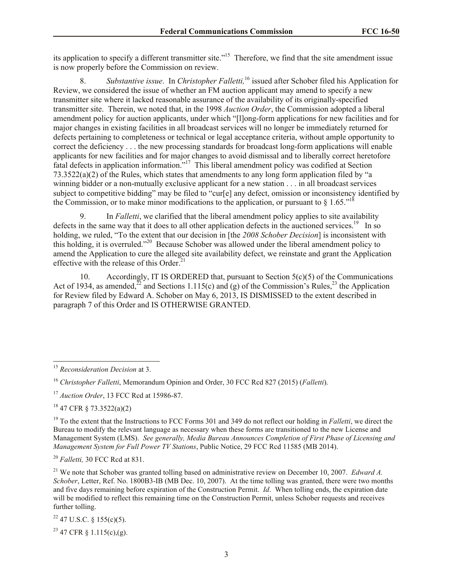its application to specify a different transmitter site."<sup>15</sup> Therefore, we find that the site amendment issue is now properly before the Commission on review.

8. *Substantive issue*. In *Christopher Falletti,*<sup>16</sup> issued after Schober filed his Application for Review, we considered the issue of whether an FM auction applicant may amend to specify a new transmitter site where it lacked reasonable assurance of the availability of its originally-specified transmitter site. Therein, we noted that, in the 1998 *Auction Order*, the Commission adopted a liberal amendment policy for auction applicants, under which "[l]ong-form applications for new facilities and for major changes in existing facilities in all broadcast services will no longer be immediately returned for defects pertaining to completeness or technical or legal acceptance criteria, without ample opportunity to correct the deficiency . . . the new processing standards for broadcast long-form applications will enable applicants for new facilities and for major changes to avoid dismissal and to liberally correct heretofore fatal defects in application information."<sup>17</sup> This liberal amendment policy was codified at Section 73.3522(a)(2) of the Rules, which states that amendments to any long form application filed by "a winning bidder or a non-mutually exclusive applicant for a new station . . . in all broadcast services subject to competitive bidding" may be filed to "cur[e] any defect, omission or inconsistency identified by the Commission, or to make minor modifications to the application, or pursuant to  $\S 1.65.^{18}$ 

9. In *Falletti*, we clarified that the liberal amendment policy applies to site availability defects in the same way that it does to all other application defects in the auctioned services.<sup>19</sup> In so holding, we ruled, "To the extent that our decision in [the *2008 Schober Decision*] is inconsistent with this holding, it is overruled."<sup>20</sup> Because Schober was allowed under the liberal amendment policy to amend the Application to cure the alleged site availability defect, we reinstate and grant the Application effective with the release of this Order.<sup>21</sup>

10. Accordingly, IT IS ORDERED that, pursuant to Section 5(c)(5) of the Communications Act of 1934, as amended,  $\frac{22}{2}$  and Sections 1.115(c) and (g) of the Commission's Rules,  $\frac{23}{2}$  the Application for Review filed by Edward A. Schober on May 6, 2013, IS DISMISSED to the extent described in paragraph 7 of this Order and IS OTHERWISE GRANTED.

<sup>18</sup> 47 CFR § 73.3522(a)(2)

 $\overline{\phantom{a}}$ 

<sup>19</sup> To the extent that the Instructions to FCC Forms 301 and 349 do not reflect our holding in *Falletti*, we direct the Bureau to modify the relevant language as necessary when these forms are transitioned to the new License and Management System (LMS). *See generally, Media Bureau Announces Completion of First Phase of Licensing and Management System for Full Power TV Stations*, Public Notice, 29 FCC Rcd 11585 (MB 2014).

<sup>20</sup> *Falletti,* 30 FCC Rcd at 831.

<sup>21</sup> We note that Schober was granted tolling based on administrative review on December 10, 2007. *Edward A*. *Schober*, Letter, Ref. No. 1800B3-IB (MB Dec. 10, 2007). At the time tolling was granted, there were two months and five days remaining before expiration of the Construction Permit. *Id*. When tolling ends, the expiration date will be modified to reflect this remaining time on the Construction Permit, unless Schober requests and receives further tolling.

 $22$  47 U.S.C. § 155(c)(5).

 $23$  47 CFR  $\S$  1.115(c),(g).

<sup>15</sup> *Reconsideration Decision* at 3.

<sup>16</sup> *Christopher Falletti*, Memorandum Opinion and Order, 30 FCC Rcd 827 (2015) (*Falletti*).

<sup>17</sup> *Auction Order*, 13 FCC Rcd at 15986-87.